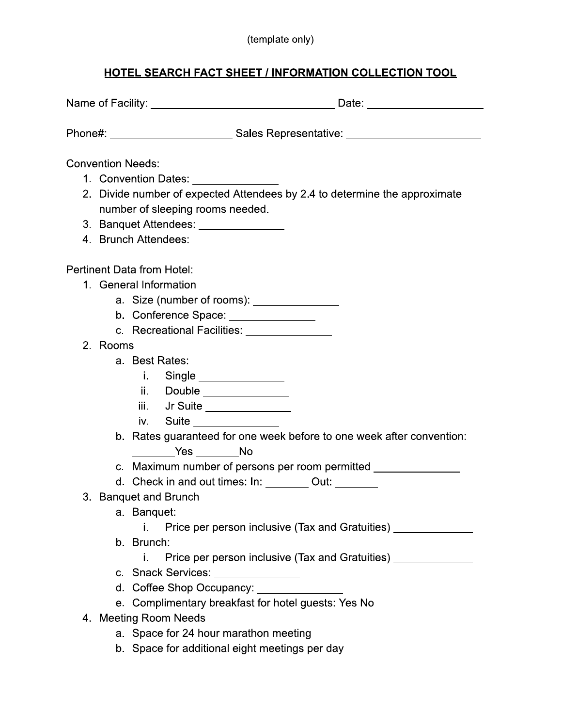#### (template only)

#### HOTEL SEARCH FACT SHEET / INFORMATION COLLECTION TOOL

|    |                                  | Phone#: ____________________________Sales Representative: ______________________ |  |  |  |  |  |
|----|----------------------------------|----------------------------------------------------------------------------------|--|--|--|--|--|
|    | <b>Convention Needs:</b>         |                                                                                  |  |  |  |  |  |
|    |                                  |                                                                                  |  |  |  |  |  |
|    |                                  | 2. Divide number of expected Attendees by 2.4 to determine the approximate       |  |  |  |  |  |
|    | number of sleeping rooms needed. |                                                                                  |  |  |  |  |  |
|    |                                  | 3. Banquet Attendees: ________________                                           |  |  |  |  |  |
|    |                                  | 4. Brunch Attendees: ________________                                            |  |  |  |  |  |
|    |                                  |                                                                                  |  |  |  |  |  |
|    |                                  | <b>Pertinent Data from Hotel:</b>                                                |  |  |  |  |  |
|    | 1. General Information           |                                                                                  |  |  |  |  |  |
|    |                                  | a. Size (number of rooms): ________________                                      |  |  |  |  |  |
|    |                                  | b. Conference Space: _______________                                             |  |  |  |  |  |
|    |                                  | c. Recreational Facilities: <b>c. Recreational Facilities</b>                    |  |  |  |  |  |
|    | 2. Rooms                         |                                                                                  |  |  |  |  |  |
|    |                                  | a. Best Rates:                                                                   |  |  |  |  |  |
|    |                                  | i. Single _________________                                                      |  |  |  |  |  |
|    |                                  | ii. Double ________________                                                      |  |  |  |  |  |
|    |                                  | iii. Jr Suite ________________                                                   |  |  |  |  |  |
|    |                                  | Suite <u>_________________</u><br>İV. I                                          |  |  |  |  |  |
|    |                                  | b. Rates guaranteed for one week before to one week after convention:            |  |  |  |  |  |
|    |                                  | Yes No                                                                           |  |  |  |  |  |
|    |                                  | c. Maximum number of persons per room permitted _______________                  |  |  |  |  |  |
|    |                                  | d. Check in and out times: In: ________ Out: ______                              |  |  |  |  |  |
| 3. |                                  | <b>Banquet and Brunch</b>                                                        |  |  |  |  |  |
|    |                                  | a. Banquet:                                                                      |  |  |  |  |  |
|    |                                  | Price per person inclusive (Tax and Gratuities)<br>i.                            |  |  |  |  |  |
|    |                                  | b. Brunch:                                                                       |  |  |  |  |  |
|    |                                  | Price per person inclusive (Tax and Gratuities) ________<br>i.                   |  |  |  |  |  |
|    |                                  | c. Snack Services: ________________                                              |  |  |  |  |  |
|    |                                  | d. Coffee Shop Occupancy:                                                        |  |  |  |  |  |
|    |                                  | e. Complimentary breakfast for hotel guests: Yes No                              |  |  |  |  |  |
|    |                                  | 4. Meeting Room Needs                                                            |  |  |  |  |  |
|    |                                  | a. Space for 24 hour marathon meeting                                            |  |  |  |  |  |
|    |                                  | b. Space for additional eight meetings per day                                   |  |  |  |  |  |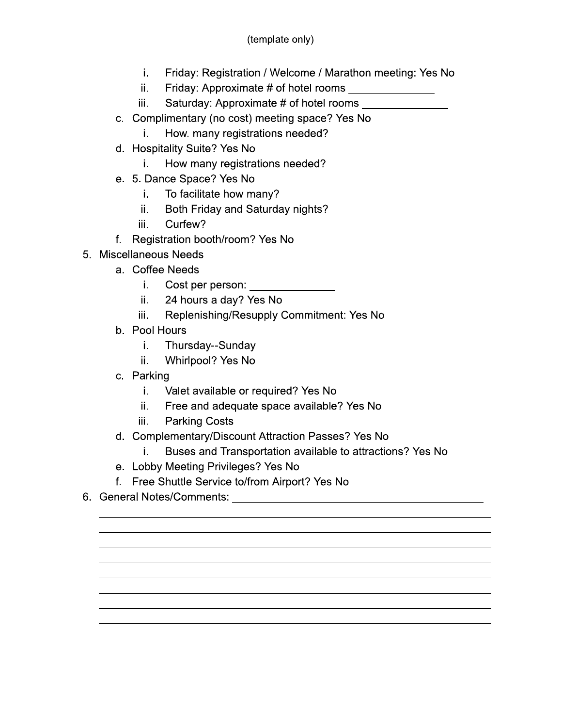- i., Friday: Registration / Welcome / Marathon meeting: Yes No
- Friday: Approximate # of hotel rooms ii.
- Saturday: Approximate # of hotel rooms iii.
- c. Complimentary (no cost) meeting space? Yes No
	- How. many registrations needed? i.
- d. Hospitality Suite? Yes No
	- How many registrations needed? i.
- e. 5. Dance Space? Yes No
	- i. To facilitate how many?
	- ii. Both Friday and Saturday nights?
	- iii. Curfew?
- f. Registration booth/room? Yes No
- 5. Miscellaneous Needs
	- a. Coffee Needs
		- Cost per person: \_\_\_\_\_\_\_\_\_\_\_\_\_\_\_\_ i.
		- ii. 24 hours a day? Yes No
		- Replenishing/Resupply Commitment: Yes No iii.
	- b. Pool Hours
		- i. Thursday--Sunday
		- Whirlpool? Yes No ii.
	- c. Parking
		- i. Valet available or required? Yes No
		- Free and adequate space available? Yes No ii.
		- **Parking Costs** iii.
	- d. Complementary/Discount Attraction Passes? Yes No
		- i. Buses and Transportation available to attractions? Yes No
	- e. Lobby Meeting Privileges? Yes No
	- f. Free Shuttle Service to/from Airport? Yes No
-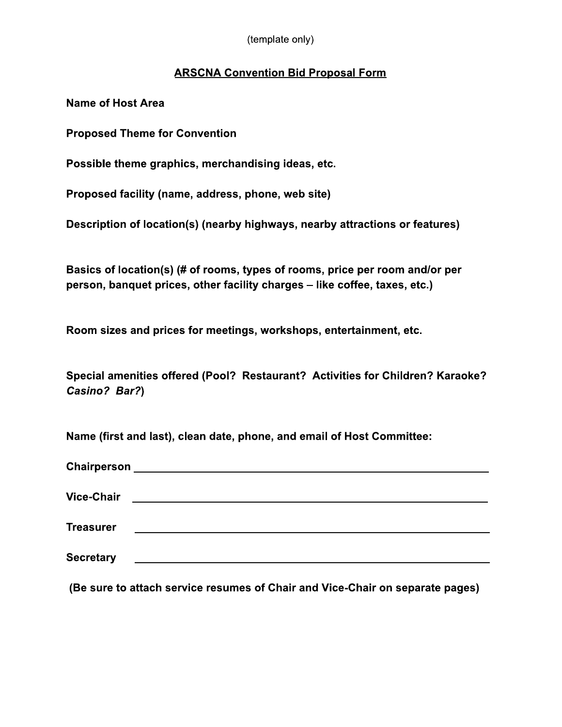(template only)

#### **ARSCNA Convention Bid Proposal Form**

**Name of Host Area** 

**Proposed Theme for Convention** 

Possible theme graphics, merchandising ideas, etc.

Proposed facility (name, address, phone, web site)

Description of location(s) (nearby highways, nearby attractions or features)

Basics of location(s) (# of rooms, types of rooms, price per room and/or per person, banquet prices, other facility charges - like coffee, taxes, etc.)

Room sizes and prices for meetings, workshops, entertainment, etc.

Special amenities offered (Pool? Restaurant? Activities for Children? Karaoke? Casino? Bar?)

Name (first and last), clean date, phone, and email of Host Committee:

| Chairperson       |  |  |
|-------------------|--|--|
| <b>Vice-Chair</b> |  |  |
| <b>Treasurer</b>  |  |  |
| <b>Secretary</b>  |  |  |
|                   |  |  |

(Be sure to attach service resumes of Chair and Vice-Chair on separate pages)